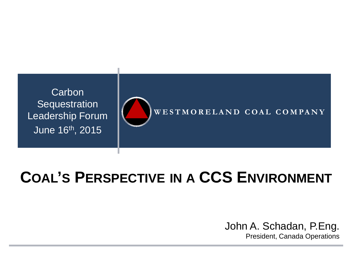

# **COAL'S PERSPECTIVE IN A CCS ENVIRONMENT**

#### John A. Schadan, P.Eng. President, Canada Operations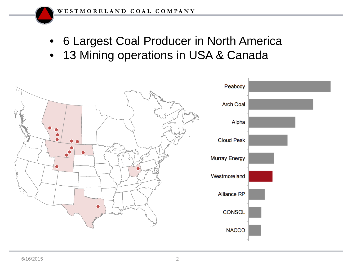- 6 Largest Coal Producer in North America
- 13 Mining operations in USA & Canada

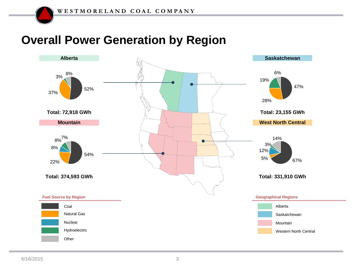### **Overall Power Generation by Region**

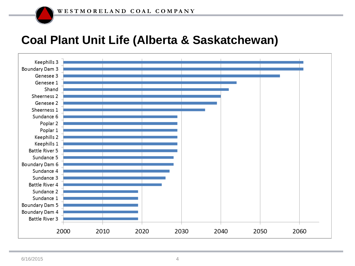### **Coal Plant Unit Life (Alberta & Saskatchewan)**

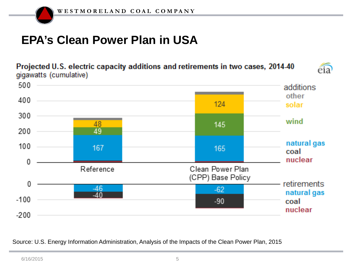# **EPA's Clean Power Plan in USA**

Projected U.S. electric capacity additions and retirements in two cases, 2014-40 gigawatts (cumulative)





Source: U.S. Energy Information Administration, Analysis of the Impacts of the Clean Power Plan, 2015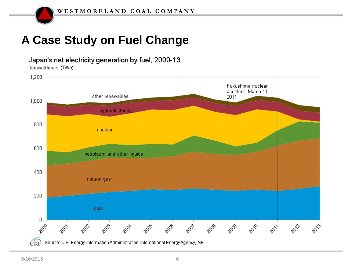# **A Case Study on Fuel Change**

Japan's net electricity generation by fuel, 2000-13

terawatthours (TWh)



Source: U.S. Energy Information Administration, International Energy Agency, METI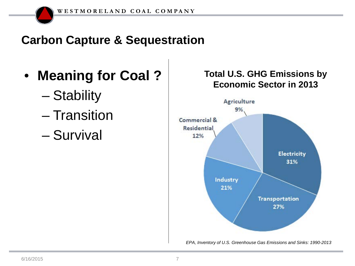## **Carbon Capture & Sequestration**

- **Meaning for Coal ?**
	- Stability
	- Transition
	- Survival

#### **Total U.S. GHG Emissions by Economic Sector in 2013**



*EPA, Inventory of U.S. Greenhouse Gas Emissions and Sinks: 1990-2013*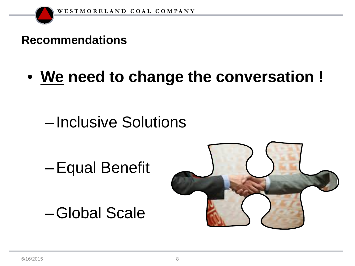### **Recommendations**

• **We need to change the conversation !**

# – Inclusive Solutions

–Equal Benefit

–Global Scale

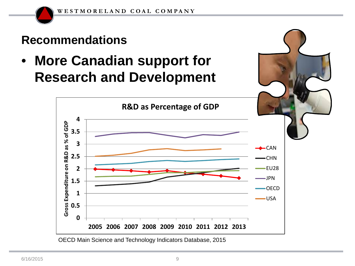### **Recommendations**

• **More Canadian support for Research and Development**



OECD Main Science and Technology Indicators Database, 2015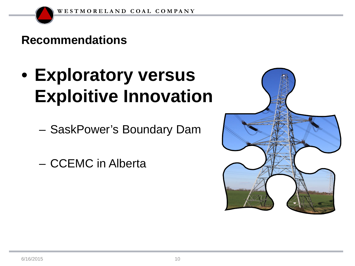### **Recommendations**

- **Exploratory versus Exploitive Innovation**
	- SaskPower's Boundary Dam
	- CCEMC in Alberta

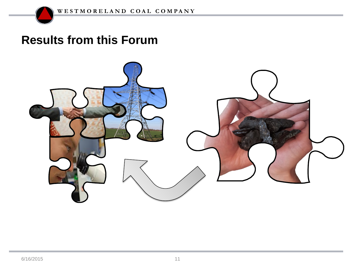### **Results from this Forum**